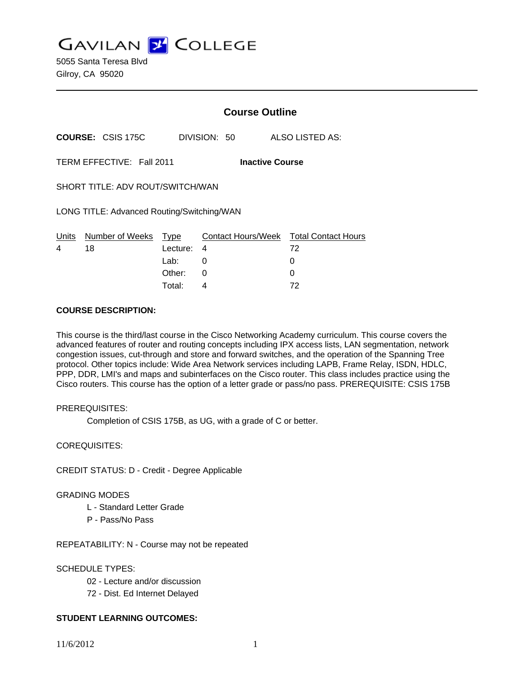**GAVILAN Z COLLEGE** 

5055 Santa Teresa Blvd Gilroy, CA 95020

|                                                     |                          | <b>Course Outline</b> |              |                                              |
|-----------------------------------------------------|--------------------------|-----------------------|--------------|----------------------------------------------|
|                                                     | <b>COURSE: CSIS 175C</b> |                       | DIVISION: 50 | ALSO LISTED AS:                              |
| TERM EFFECTIVE: Fall 2011<br><b>Inactive Course</b> |                          |                       |              |                                              |
| SHORT TITLE: ADV ROUT/SWITCH/WAN                    |                          |                       |              |                                              |
| LONG TITLE: Advanced Routing/Switching/WAN          |                          |                       |              |                                              |
| Units<br>4                                          | Number of Weeks<br>18    | Type<br>Lecture:      | 4            | Contact Hours/Week Total Contact Hours<br>72 |
|                                                     |                          | Lab:                  | 0            | 0                                            |
|                                                     |                          | Other:                | 0            |                                              |

### **COURSE DESCRIPTION:**

This course is the third/last course in the Cisco Networking Academy curriculum. This course covers the advanced features of router and routing concepts including IPX access lists, LAN segmentation, network congestion issues, cut-through and store and forward switches, and the operation of the Spanning Tree protocol. Other topics include: Wide Area Network services including LAPB, Frame Relay, ISDN, HDLC, PPP, DDR, LMI's and maps and subinterfaces on the Cisco router. This class includes practice using the Cisco routers. This course has the option of a letter grade or pass/no pass. PREREQUISITE: CSIS 175B

Total: 4 72

## PREREQUISITES:

Completion of CSIS 175B, as UG, with a grade of C or better.

COREQUISITES:

CREDIT STATUS: D - Credit - Degree Applicable

#### GRADING MODES

- L Standard Letter Grade
- P Pass/No Pass

REPEATABILITY: N - Course may not be repeated

## SCHEDULE TYPES:

- 02 Lecture and/or discussion
- 72 Dist. Ed Internet Delayed

## **STUDENT LEARNING OUTCOMES:**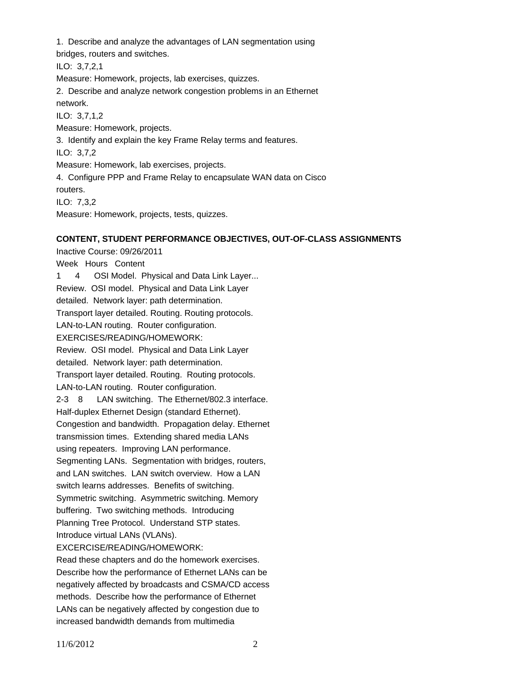1. Describe and analyze the advantages of LAN segmentation using

bridges, routers and switches.

ILO: 3,7,2,1

Measure: Homework, projects, lab exercises, quizzes.

2. Describe and analyze network congestion problems in an Ethernet network.

ILO: 3,7,1,2

Measure: Homework, projects.

3. Identify and explain the key Frame Relay terms and features.

ILO: 3,7,2

Measure: Homework, lab exercises, projects.

4. Configure PPP and Frame Relay to encapsulate WAN data on Cisco routers.

ILO: 7,3,2

Measure: Homework, projects, tests, quizzes.

# **CONTENT, STUDENT PERFORMANCE OBJECTIVES, OUT-OF-CLASS ASSIGNMENTS**

Inactive Course: 09/26/2011 Week Hours Content 1 4 OSI Model. Physical and Data Link Layer... Review. OSI model. Physical and Data Link Layer detailed. Network layer: path determination. Transport layer detailed. Routing. Routing protocols. LAN-to-LAN routing. Router configuration. EXERCISES/READING/HOMEWORK: Review. OSI model. Physical and Data Link Layer detailed. Network layer: path determination. Transport layer detailed. Routing. Routing protocols. LAN-to-LAN routing. Router configuration. 2-3 8 LAN switching. The Ethernet/802.3 interface. Half-duplex Ethernet Design (standard Ethernet). Congestion and bandwidth. Propagation delay. Ethernet transmission times. Extending shared media LANs using repeaters. Improving LAN performance. Segmenting LANs. Segmentation with bridges, routers, and LAN switches. LAN switch overview. How a LAN switch learns addresses. Benefits of switching. Symmetric switching. Asymmetric switching. Memory buffering. Two switching methods. Introducing Planning Tree Protocol. Understand STP states. Introduce virtual LANs (VLANs). EXCERCISE/READING/HOMEWORK: Read these chapters and do the homework exercises. Describe how the performance of Ethernet LANs can be negatively affected by broadcasts and CSMA/CD access methods. Describe how the performance of Ethernet

LANs can be negatively affected by congestion due to increased bandwidth demands from multimedia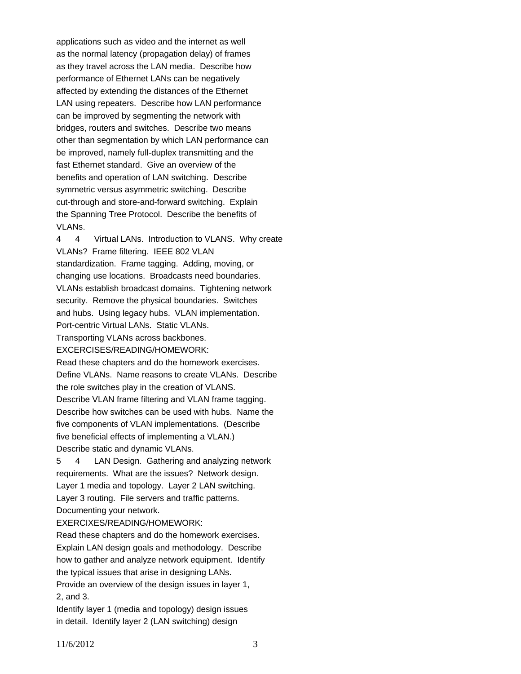applications such as video and the internet as well as the normal latency (propagation delay) of frames as they travel across the LAN media. Describe how performance of Ethernet LANs can be negatively affected by extending the distances of the Ethernet LAN using repeaters. Describe how LAN performance can be improved by segmenting the network with bridges, routers and switches. Describe two means other than segmentation by which LAN performance can be improved, namely full-duplex transmitting and the fast Ethernet standard. Give an overview of the benefits and operation of LAN switching. Describe symmetric versus asymmetric switching. Describe cut-through and store-and-forward switching. Explain the Spanning Tree Protocol. Describe the benefits of VLANs.

4 4 Virtual LANs. Introduction to VLANS. Why create VLANs? Frame filtering. IEEE 802 VLAN standardization. Frame tagging. Adding, moving, or changing use locations. Broadcasts need boundaries. VLANs establish broadcast domains. Tightening network security. Remove the physical boundaries. Switches and hubs. Using legacy hubs. VLAN implementation. Port-centric Virtual LANs. Static VLANs. Transporting VLANs across backbones. EXCERCISES/READING/HOMEWORK: Read these chapters and do the homework exercises. Define VLANs. Name reasons to create VLANs. Describe the role switches play in the creation of VLANS. Describe VLAN frame filtering and VLAN frame tagging. Describe how switches can be used with hubs. Name the five components of VLAN implementations. (Describe five beneficial effects of implementing a VLAN.) Describe static and dynamic VLANs.

5 4 LAN Design. Gathering and analyzing network requirements. What are the issues? Network design. Layer 1 media and topology. Layer 2 LAN switching. Layer 3 routing. File servers and traffic patterns. Documenting your network.

#### EXERCIXES/READING/HOMEWORK:

Read these chapters and do the homework exercises. Explain LAN design goals and methodology. Describe how to gather and analyze network equipment. Identify the typical issues that arise in designing LANs. Provide an overview of the design issues in layer 1,

2, and 3.

Identify layer 1 (media and topology) design issues in detail. Identify layer 2 (LAN switching) design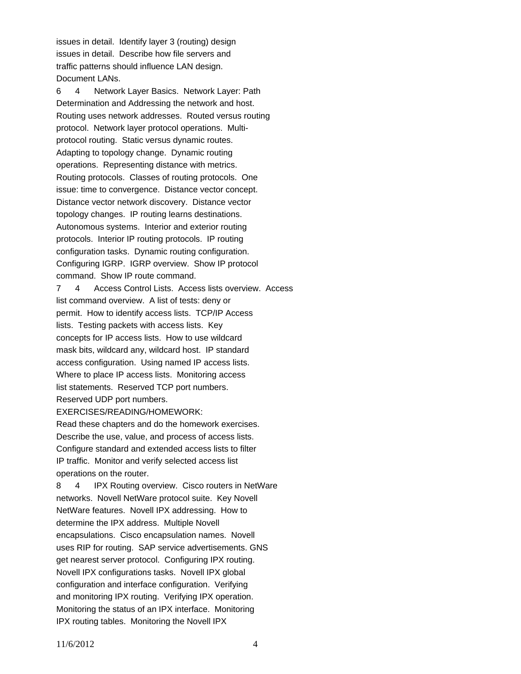issues in detail. Identify layer 3 (routing) design issues in detail. Describe how file servers and traffic patterns should influence LAN design. Document LANs.

6 4 Network Layer Basics. Network Layer: Path Determination and Addressing the network and host. Routing uses network addresses. Routed versus routing protocol. Network layer protocol operations. Multiprotocol routing. Static versus dynamic routes. Adapting to topology change. Dynamic routing operations. Representing distance with metrics. Routing protocols. Classes of routing protocols. One issue: time to convergence. Distance vector concept. Distance vector network discovery. Distance vector topology changes. IP routing learns destinations. Autonomous systems. Interior and exterior routing protocols. Interior IP routing protocols. IP routing configuration tasks. Dynamic routing configuration. Configuring IGRP. IGRP overview. Show IP protocol command. Show IP route command.

7 4 Access Control Lists. Access lists overview. Access list command overview. A list of tests: deny or permit. How to identify access lists. TCP/IP Access lists. Testing packets with access lists. Key concepts for IP access lists. How to use wildcard mask bits, wildcard any, wildcard host. IP standard access configuration. Using named IP access lists. Where to place IP access lists. Monitoring access list statements. Reserved TCP port numbers. Reserved UDP port numbers.

EXERCISES/READING/HOMEWORK:

Read these chapters and do the homework exercises. Describe the use, value, and process of access lists. Configure standard and extended access lists to filter IP traffic. Monitor and verify selected access list operations on the router.

8 4 IPX Routing overview. Cisco routers in NetWare networks. Novell NetWare protocol suite. Key Novell NetWare features. Novell IPX addressing. How to determine the IPX address. Multiple Novell encapsulations. Cisco encapsulation names. Novell uses RIP for routing. SAP service advertisements. GNS get nearest server protocol. Configuring IPX routing. Novell IPX configurations tasks. Novell IPX global configuration and interface configuration. Verifying and monitoring IPX routing. Verifying IPX operation. Monitoring the status of an IPX interface. Monitoring IPX routing tables. Monitoring the Novell IPX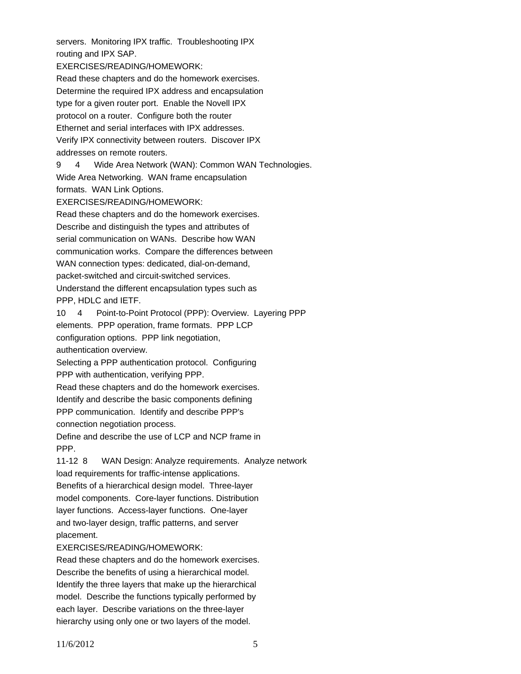servers. Monitoring IPX traffic. Troubleshooting IPX routing and IPX SAP. EXERCISES/READING/HOMEWORK: Read these chapters and do the homework exercises.

Determine the required IPX address and encapsulation type for a given router port. Enable the Novell IPX protocol on a router. Configure both the router Ethernet and serial interfaces with IPX addresses. Verify IPX connectivity between routers. Discover IPX addresses on remote routers.

9 4 Wide Area Network (WAN): Common WAN Technologies. Wide Area Networking. WAN frame encapsulation formats. WAN Link Options.

EXERCISES/READING/HOMEWORK:

Read these chapters and do the homework exercises. Describe and distinguish the types and attributes of serial communication on WANs. Describe how WAN communication works. Compare the differences between WAN connection types: dedicated, dial-on-demand, packet-switched and circuit-switched services. Understand the different encapsulation types such as PPP, HDLC and IETF.

10 4 Point-to-Point Protocol (PPP): Overview. Layering PPP elements. PPP operation, frame formats. PPP LCP configuration options. PPP link negotiation, authentication overview.

Selecting a PPP authentication protocol. Configuring PPP with authentication, verifying PPP.

Read these chapters and do the homework exercises.

Identify and describe the basic components defining PPP communication. Identify and describe PPP's connection negotiation process.

Define and describe the use of LCP and NCP frame in PPP.

11-12 8 WAN Design: Analyze requirements. Analyze network load requirements for traffic-intense applications. Benefits of a hierarchical design model. Three-layer model components. Core-layer functions. Distribution layer functions. Access-layer functions. One-layer and two-layer design, traffic patterns, and server placement.

EXERCISES/READING/HOMEWORK:

Read these chapters and do the homework exercises. Describe the benefits of using a hierarchical model. Identify the three layers that make up the hierarchical model. Describe the functions typically performed by each layer. Describe variations on the three-layer hierarchy using only one or two layers of the model.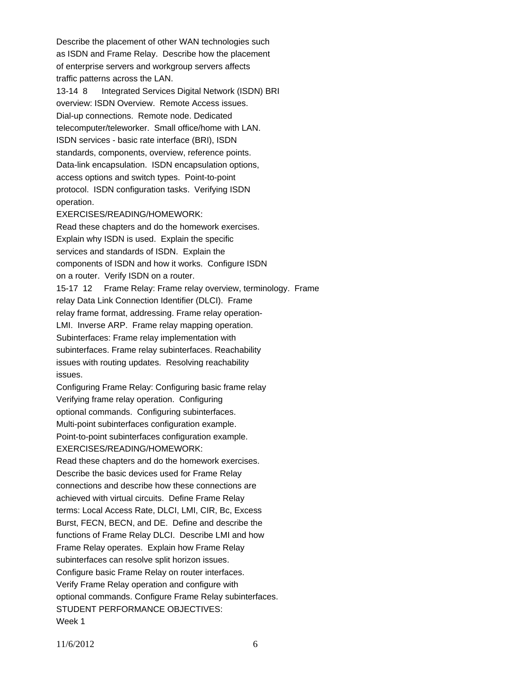Describe the placement of other WAN technologies such as ISDN and Frame Relay. Describe how the placement of enterprise servers and workgroup servers affects traffic patterns across the LAN.

13-14 8 Integrated Services Digital Network (ISDN) BRI overview: ISDN Overview. Remote Access issues. Dial-up connections. Remote node. Dedicated telecomputer/teleworker. Small office/home with LAN. ISDN services - basic rate interface (BRI), ISDN standards, components, overview, reference points. Data-link encapsulation. ISDN encapsulation options, access options and switch types. Point-to-point protocol. ISDN configuration tasks. Verifying ISDN operation.

#### EXERCISES/READING/HOMEWORK:

Read these chapters and do the homework exercises. Explain why ISDN is used. Explain the specific services and standards of ISDN. Explain the components of ISDN and how it works. Configure ISDN on a router. Verify ISDN on a router. 15-17 12 Frame Relay: Frame relay overview, terminology. Frame relay Data Link Connection Identifier (DLCI). Frame relay frame format, addressing. Frame relay operation-LMI. Inverse ARP. Frame relay mapping operation. Subinterfaces: Frame relay implementation with subinterfaces. Frame relay subinterfaces. Reachability issues with routing updates. Resolving reachability issues. Configuring Frame Relay: Configuring basic frame relay Verifying frame relay operation. Configuring optional commands. Configuring subinterfaces. Multi-point subinterfaces configuration example. Point-to-point subinterfaces configuration example. EXERCISES/READING/HOMEWORK: Read these chapters and do the homework exercises. Describe the basic devices used for Frame Relay connections and describe how these connections are achieved with virtual circuits. Define Frame Relay terms: Local Access Rate, DLCI, LMI, CIR, Bc, Excess Burst, FECN, BECN, and DE. Define and describe the functions of Frame Relay DLCI. Describe LMI and how Frame Relay operates. Explain how Frame Relay subinterfaces can resolve split horizon issues. Configure basic Frame Relay on router interfaces. Verify Frame Relay operation and configure with optional commands. Configure Frame Relay subinterfaces. STUDENT PERFORMANCE OBJECTIVES: Week 1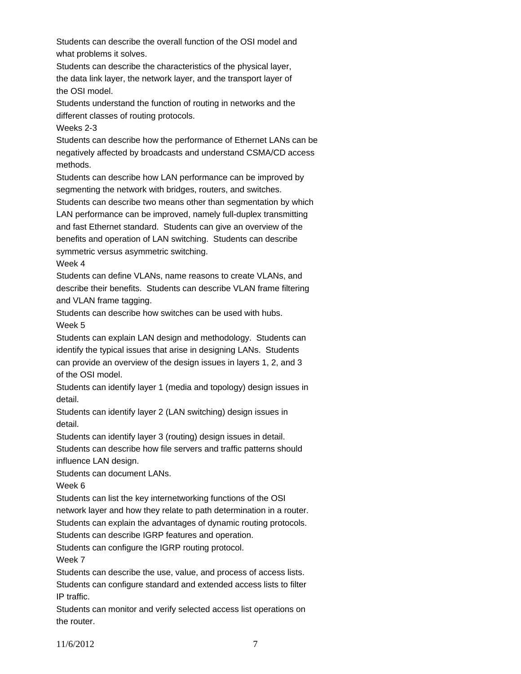Students can describe the overall function of the OSI model and what problems it solves.

Students can describe the characteristics of the physical layer, the data link layer, the network layer, and the transport layer of the OSI model.

Students understand the function of routing in networks and the different classes of routing protocols.

Weeks 2-3

Students can describe how the performance of Ethernet LANs can be negatively affected by broadcasts and understand CSMA/CD access methods.

Students can describe how LAN performance can be improved by segmenting the network with bridges, routers, and switches.

Students can describe two means other than segmentation by which

LAN performance can be improved, namely full-duplex transmitting and fast Ethernet standard. Students can give an overview of the benefits and operation of LAN switching. Students can describe symmetric versus asymmetric switching.

Week 4

Students can define VLANs, name reasons to create VLANs, and describe their benefits. Students can describe VLAN frame filtering and VLAN frame tagging.

Students can describe how switches can be used with hubs. Week 5

Students can explain LAN design and methodology. Students can identify the typical issues that arise in designing LANs. Students can provide an overview of the design issues in layers 1, 2, and 3 of the OSI model.

Students can identify layer 1 (media and topology) design issues in detail.

Students can identify layer 2 (LAN switching) design issues in detail.

Students can identify layer 3 (routing) design issues in detail.

Students can describe how file servers and traffic patterns should influence LAN design.

Students can document LANs.

Week 6

Students can list the key internetworking functions of the OSI

network layer and how they relate to path determination in a router.

Students can explain the advantages of dynamic routing protocols.

Students can describe IGRP features and operation.

Students can configure the IGRP routing protocol.

Week 7

Students can describe the use, value, and process of access lists. Students can configure standard and extended access lists to filter IP traffic.

Students can monitor and verify selected access list operations on the router.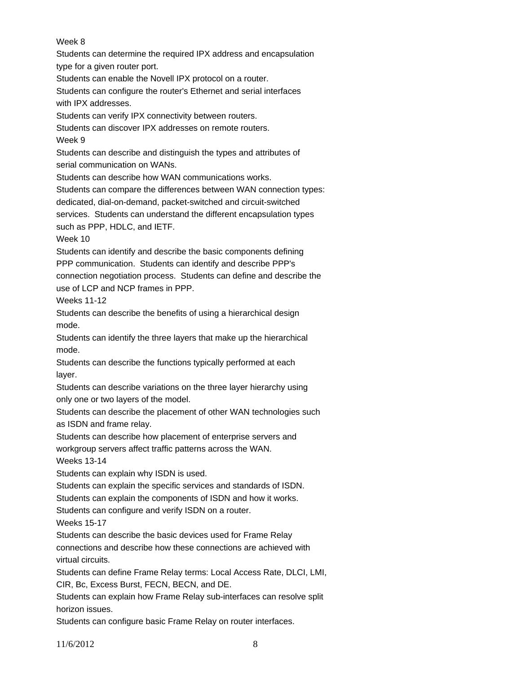# Week 8

Students can determine the required IPX address and encapsulation

type for a given router port.

Students can enable the Novell IPX protocol on a router.

Students can configure the router's Ethernet and serial interfaces with IPX addresses.

Students can verify IPX connectivity between routers.

Students can discover IPX addresses on remote routers.

Week 9

Students can describe and distinguish the types and attributes of serial communication on WANs.

Students can describe how WAN communications works.

Students can compare the differences between WAN connection types:

dedicated, dial-on-demand, packet-switched and circuit-switched

services. Students can understand the different encapsulation types

such as PPP, HDLC, and IETF.

Week 10

Students can identify and describe the basic components defining PPP communication. Students can identify and describe PPP's connection negotiation process. Students can define and describe the use of LCP and NCP frames in PPP.

Weeks 11-12

Students can describe the benefits of using a hierarchical design mode.

Students can identify the three layers that make up the hierarchical mode.

Students can describe the functions typically performed at each layer.

Students can describe variations on the three layer hierarchy using only one or two layers of the model.

Students can describe the placement of other WAN technologies such as ISDN and frame relay.

Students can describe how placement of enterprise servers and

workgroup servers affect traffic patterns across the WAN.

Weeks 13-14

Students can explain why ISDN is used.

Students can explain the specific services and standards of ISDN.

Students can explain the components of ISDN and how it works.

Students can configure and verify ISDN on a router.

Weeks 15-17

Students can describe the basic devices used for Frame Relay

connections and describe how these connections are achieved with virtual circuits.

Students can define Frame Relay terms: Local Access Rate, DLCI, LMI, CIR, Bc, Excess Burst, FECN, BECN, and DE.

Students can explain how Frame Relay sub-interfaces can resolve split horizon issues.

Students can configure basic Frame Relay on router interfaces.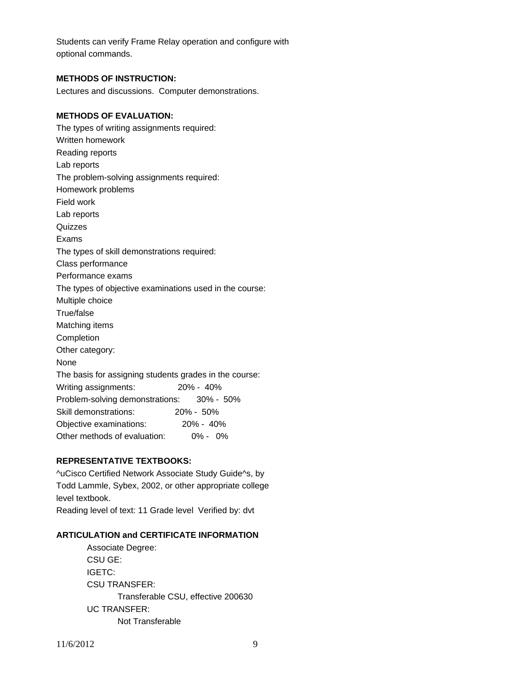Students can verify Frame Relay operation and configure with optional commands.

### **METHODS OF INSTRUCTION:**

Lectures and discussions. Computer demonstrations.

### **METHODS OF EVALUATION:**

The types of writing assignments required: Written homework Reading reports Lab reports The problem-solving assignments required: Homework problems Field work Lab reports **Quizzes** Exams The types of skill demonstrations required: Class performance Performance exams The types of objective examinations used in the course: Multiple choice True/false Matching items Completion Other category: None The basis for assigning students grades in the course: Writing assignments: 20% - 40% Problem-solving demonstrations: 30% - 50% Skill demonstrations: 20% - 50% Objective examinations: 20% - 40% Other methods of evaluation: 0% - 0%

# **REPRESENTATIVE TEXTBOOKS:**

^uCisco Certified Network Associate Study Guide^s, by Todd Lammle, Sybex, 2002, or other appropriate college level textbook. Reading level of text: 11 Grade level Verified by: dvt

## **ARTICULATION and CERTIFICATE INFORMATION**

 Transferable CSU, effective 200630 UC TRANSFER: Not Transferable Associate Degree: CSU GE: IGETC: CSU TRANSFER: